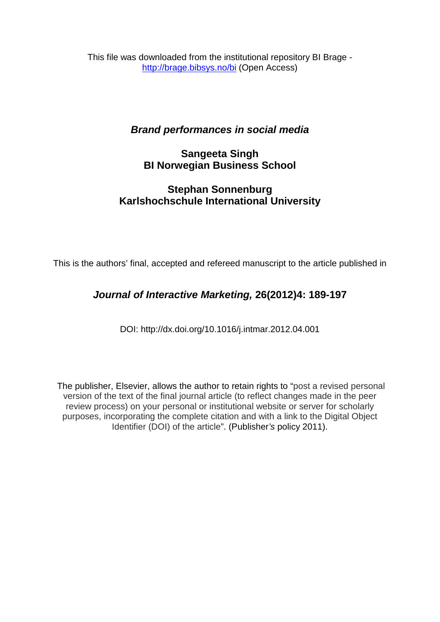This file was downloaded from the institutional repository BI Brage <http://brage.bibsys.no/bi> (Open Access)

# *Brand performances in social media*

# **Sangeeta Singh BI Norwegian Business School**

# **Stephan Sonnenburg Karlshochschule International University**

This is the authors' final, accepted and refereed manuscript to the article published in

# *Journal of Interactive Marketing,* **26(2012)4: 189-197**

DOI: <http://dx.doi.org/10.1016/j.intmar.2012.04.001>

The publisher, Elsevier, allows the author to retain rights to "post a revised personal version of the text of the final journal article (to reflect changes made in the peer review process) on your personal or institutional website or server for scholarly purposes, incorporating the complete citation and with a link to the Digital Object Identifier (DOI) of the article". (Publisher*'s* policy 2011).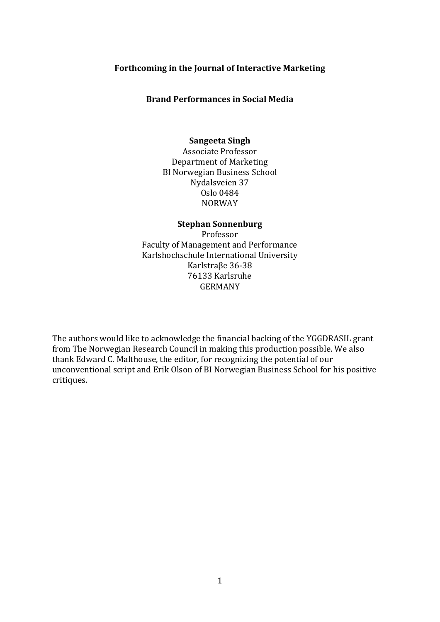## **Forthcoming in the Journal of Interactive Marketing**

## **Brand Performances in Social Media**

## **Sangeeta Singh**

Associate Professor Department of Marketing BI Norwegian Business School Nydalsveien 37 Oslo 0484 NORWAY

## **Stephan Sonnenburg**

Professor Faculty of Management and Performance Karlshochschule International University Karlstraβe 36-38 76133 Karlsruhe GERMANY

The authors would like to acknowledge the financial backing of the YGGDRASIL grant from The Norwegian Research Council in making this production possible. We also thank Edward C. Malthouse, the editor, for recognizing the potential of our unconventional script and Erik Olson of BI Norwegian Business School for his positive critiques.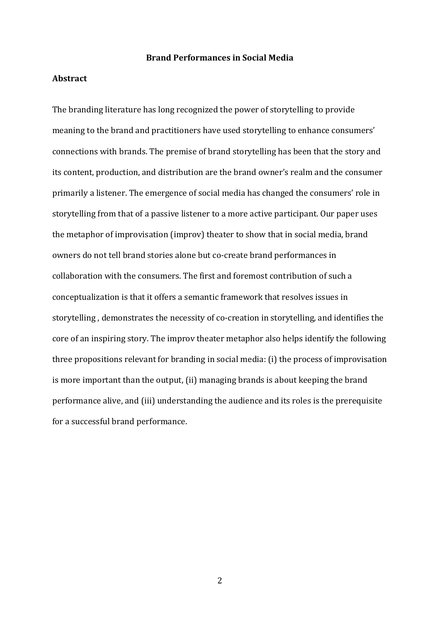## **Brand Performances in Social Media**

# **Abstract**

The branding literature has long recognized the power of storytelling to provide meaning to the brand and practitioners have used storytelling to enhance consumers' connections with brands. The premise of brand storytelling has been that the story and its content, production, and distribution are the brand owner's realm and the consumer primarily a listener. The emergence of social media has changed the consumers' role in storytelling from that of a passive listener to a more active participant. Our paper uses the metaphor of improvisation (improv) theater to show that in social media, brand owners do not tell brand stories alone but co-create brand performances in collaboration with the consumers. The first and foremost contribution of such a conceptualization is that it offers a semantic framework that resolves issues in storytelling , demonstrates the necessity of co-creation in storytelling, and identifies the core of an inspiring story. The improv theater metaphor also helps identify the following three propositions relevant for branding in social media: (i) the process of improvisation is more important than the output, (ii) managing brands is about keeping the brand performance alive, and (iii) understanding the audience and its roles is the prerequisite for a successful brand performance.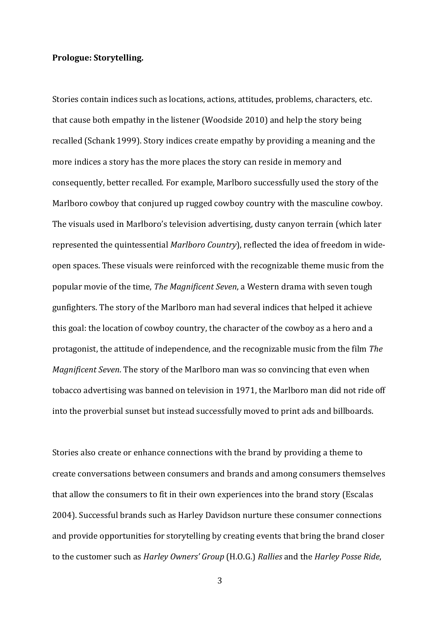#### **Prologue: Storytelling.**

Stories contain indices such as locations, actions, attitudes, problems, characters, etc. that cause both empathy in the listener [\(Woodside 2010\)](#page-24-0) and help the story being recalled [\(Schank 1999\)](#page-24-1). Story indices create empathy by providing a meaning and the more indices a story has the more places the story can reside in memory and consequently, better recalled. For example, Marlboro successfully used the story of the Marlboro cowboy that conjured up rugged cowboy country with the masculine cowboy. The visuals used in Marlboro's television advertising, dusty canyon terrain (which later represented the quintessential *Marlboro Country*), reflected the idea of freedom in wideopen spaces. These visuals were reinforced with the recognizable theme music from the popular movie of the time, *The Magnificent Seven*, a Western drama with seven tough gunfighters. The story of the Marlboro man had several indices that helped it achieve this goal: the location of cowboy country, the character of the cowboy as a hero and a protagonist, the attitude of independence, and the recognizable music from the film *The Magnificent Seven*. The story of the Marlboro man was so convincing that even when tobacco advertising was banned on television in 1971, the Marlboro man did not ride off into the proverbial sunset but instead successfully moved to print ads and billboards.

Stories also create or enhance connections with the brand by providing a theme to create conversations between consumers and brands and among consumers themselves that allow the consumers to fit in their own experiences into the brand story [\(Escalas](#page-23-0)  [2004\)](#page-23-0). Successful brands such as Harley Davidson nurture these consumer connections and provide opportunities for storytelling by creating events that bring the brand closer to the customer such as *Harley Owners' Group* (H.O.G.) *Rallies* and the *Harley Posse Ride*,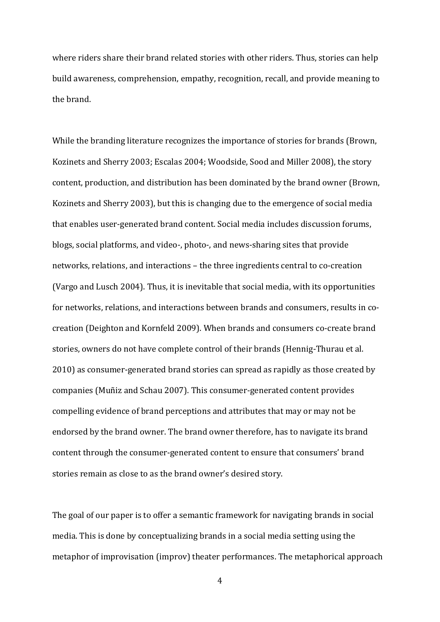where riders share their brand related stories with other riders. Thus, stories can help build awareness, comprehension, empathy, recognition, recall, and provide meaning to the brand.

While the branding literature recognizes the importance of stories for brands [\(Brown,](#page-22-0)  [Kozinets and Sherry 2003;](#page-22-0) [Escalas 2004;](#page-23-0) [Woodside, Sood and Miller 2008\)](#page-24-2), the story content, production, and distribution has been dominated by the brand owner [\(Brown,](#page-22-0)  [Kozinets and Sherry 2003\)](#page-22-0), but this is changing due to the emergence of social media that enables user-generated brand content. Social media includes discussion forums, blogs, social platforms, and video-, photo-, and news-sharing sites that provide networks, relations, and interactions – the three ingredients central to co-creation [\(Vargo and Lusch 2004\)](#page-24-3). Thus, it is inevitable that social media, with its opportunities for networks, relations, and interactions between brands and consumers, results in cocreation [\(Deighton and Kornfeld 2009\)](#page-22-1). When brands and consumers co-create brand stories, owners do not have complete control of their brands [\(Hennig-Thurau et al.](#page-23-1)  [2010\)](#page-23-1) as consumer-generated brand stories can spread as rapidly as those created by companies [\(Muñiz and Schau 2007\)](#page-23-2). This consumer-generated content provides compelling evidence of brand perceptions and attributes that may or may not be endorsed by the brand owner. The brand owner therefore, has to navigate its brand content through the consumer-generated content to ensure that consumers' brand stories remain as close to as the brand owner's desired story.

The goal of our paper is to offer a semantic framework for navigating brands in social media. This is done by conceptualizing brands in a social media setting using the metaphor of improvisation (improv) theater performances. The metaphorical approach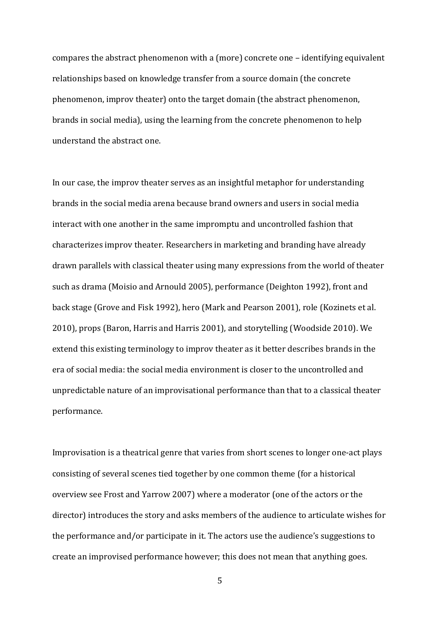compares the abstract phenomenon with a (more) concrete one – identifying equivalent relationships based on knowledge transfer from a source domain (the concrete phenomenon, improv theater) onto the target domain (the abstract phenomenon, brands in social media), using the learning from the concrete phenomenon to help understand the abstract one.

In our case, the improv theater serves as an insightful metaphor for understanding brands in the social media arena because brand owners and users in social media interact with one another in the same impromptu and uncontrolled fashion that characterizes improv theater. Researchers in marketing and branding have already drawn parallels with classical theater using many expressions from the world of theater such as drama [\(Moisio and Arnould 2005\)](#page-23-3), performance [\(Deighton 1992\)](#page-22-2), front and back stage [\(Grove and Fisk 1992\)](#page-23-4), hero [\(Mark and Pearson 2001\)](#page-23-5), role [\(Kozinets et al.](#page-23-6)  [2010\)](#page-23-6), props [\(Baron, Harris and Harris 2001\)](#page-22-3), and storytelling [\(Woodside 2010\)](#page-24-0). We extend this existing terminology to improv theater as it better describes brands in the era of social media: the social media environment is closer to the uncontrolled and unpredictable nature of an improvisational performance than that to a classical theater performance.

Improvisation is a theatrical genre that varies from short scenes to longer one-act plays consisting of several scenes tied together by one common theme (for a historical overview see Frost and Yarrow 2007) where a moderator (one of the actors or the director) introduces the story and asks members of the audience to articulate wishes for the performance and/or participate in it. The actors use the audience's suggestions to create an improvised performance however; this does not mean that anything goes.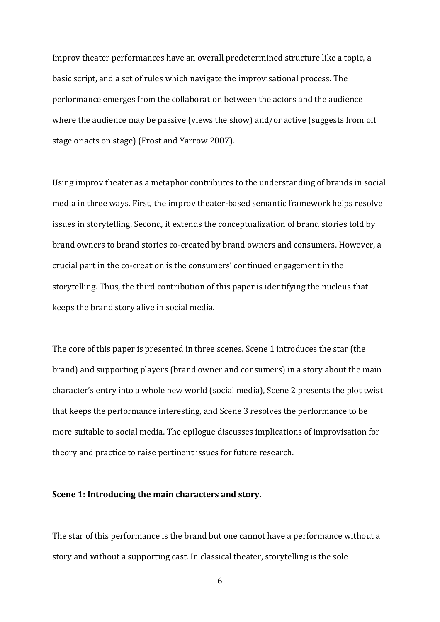Improv theater performances have an overall predetermined structure like a topic, a basic script, and a set of rules which navigate the improvisational process. The performance emerges from the collaboration between the actors and the audience where the audience may be passive (views the show) and/or active (suggests from off stage or acts on stage) [\(Frost and Yarrow 2007\)](#page-23-7).

Using improv theater as a metaphor contributes to the understanding of brands in social media in three ways. First, the improv theater-based semantic framework helps resolve issues in storytelling. Second, it extends the conceptualization of brand stories told by brand owners to brand stories co-created by brand owners and consumers. However, a crucial part in the co-creation is the consumers' continued engagement in the storytelling. Thus, the third contribution of this paper is identifying the nucleus that keeps the brand story alive in social media.

The core of this paper is presented in three scenes. Scene 1 introduces the star (the brand) and supporting players (brand owner and consumers) in a story about the main character's entry into a whole new world (social media), Scene 2 presents the plot twist that keeps the performance interesting, and Scene 3 resolves the performance to be more suitable to social media. The epilogue discusses implications of improvisation for theory and practice to raise pertinent issues for future research.

#### **Scene 1: Introducing the main characters and story.**

The star of this performance is the brand but one cannot have a performance without a story and without a supporting cast. In classical theater, storytelling is the sole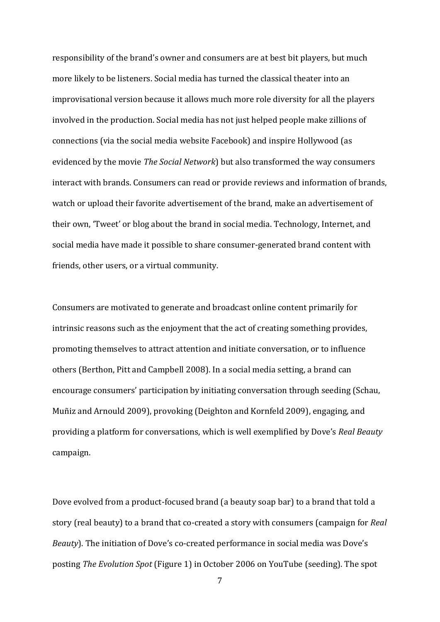responsibility of the brand's owner and consumers are at best bit players, but much more likely to be listeners. Social media has turned the classical theater into an improvisational version because it allows much more role diversity for all the players involved in the production. Social media has not just helped people make zillions of connections (via the social media website Facebook) and inspire Hollywood (as evidenced by the movie *The Social Network*) but also transformed the way consumers interact with brands. Consumers can read or provide reviews and information of brands, watch or upload their favorite advertisement of the brand, make an advertisement of their own, 'Tweet' or blog about the brand in social media. Technology, Internet, and social media have made it possible to share consumer-generated brand content with friends, other users, or a virtual community.

Consumers are motivated to generate and broadcast online content primarily for intrinsic reasons such as the enjoyment that the act of creating something provides, promoting themselves to attract attention and initiate conversation, or to influence others [\(Berthon, Pitt and Campbell 2008\)](#page-22-4). In a social media setting, a brand can encourage consumers' participation by initiating conversation through seeding [\(Schau,](#page-24-4)  [Muñiz and Arnould 2009\)](#page-24-4), provoking [\(Deighton and Kornfeld 2009\)](#page-22-1), engaging, and providing a platform for conversations, which is well exemplified by Dove's *Real Beauty* campaign.

Dove evolved from a product-focused brand (a beauty soap bar) to a brand that told a story (real beauty) to a brand that co-created a story with consumers (campaign for *Real Beauty*). The initiation of Dove's co-created performance in social media was Dove's posting *The Evolution Spot* (Figure 1) in October 2006 on YouTube (seeding). The spot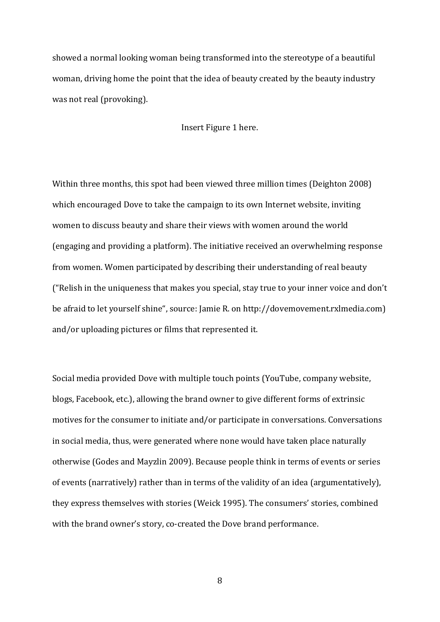showed a normal looking woman being transformed into the stereotype of a beautiful woman, driving home the point that the idea of beauty created by the beauty industry was not real (provoking).

Insert Figure 1 here.

Within three months, this spot had been viewed three million times [\(Deighton 2008\)](#page-22-5) which encouraged Dove to take the campaign to its own Internet website, inviting women to discuss beauty and share their views with women around the world (engaging and providing a platform). The initiative received an overwhelming response from women. Women participated by describing their understanding of real beauty ("Relish in the uniqueness that makes you special, stay true to your inner voice and don't be afraid to let yourself shine", source: Jamie R. on http://dovemovement.rxlmedia.com) and/or uploading pictures or films that represented it.

Social media provided Dove with multiple touch points (YouTube, company website, blogs, Facebook, etc.), allowing the brand owner to give different forms of extrinsic motives for the consumer to initiate and/or participate in conversations. Conversations in social media, thus, were generated where none would have taken place naturally otherwise [\(Godes and Mayzlin 2009\)](#page-23-8). Because people think in terms of events or series of events (narratively) rather than in terms of the validity of an idea (argumentatively), they express themselves with stories [\(Weick 1995\)](#page-24-5). The consumers' stories, combined with the brand owner's story, co-created the Dove brand performance.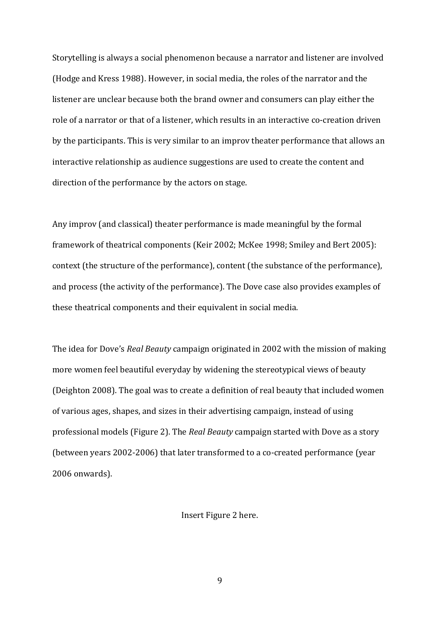Storytelling is always a social phenomenon because a narrator and listener are involved [\(Hodge and Kress 1988\)](#page-23-9). However, in social media, the roles of the narrator and the listener are unclear because both the brand owner and consumers can play either the role of a narrator or that of a listener, which results in an interactive co-creation driven by the participants. This is very similar to an improv theater performance that allows an interactive relationship as audience suggestions are used to create the content and direction of the performance by the actors on stage.

Any improv (and classical) theater performance is made meaningful by the formal framework of theatrical components [\(Keir 2002;](#page-23-10) [McKee 1998;](#page-23-11) [Smiley and Bert 2005\)](#page-24-6): context (the structure of the performance), content (the substance of the performance), and process (the activity of the performance). The Dove case also provides examples of these theatrical components and their equivalent in social media.

The idea for Dove's *Real Beauty* campaign originated in 2002 with the mission of making more women feel beautiful everyday by widening the stereotypical views of beauty [\(Deighton 2008\)](#page-22-5). The goal was to create a definition of real beauty that included women of various ages, shapes, and sizes in their advertising campaign, instead of using professional models (Figure 2). The *Real Beauty* campaign started with Dove as a story (between years 2002-2006) that later transformed to a co-created performance (year 2006 onwards).

Insert Figure 2 here.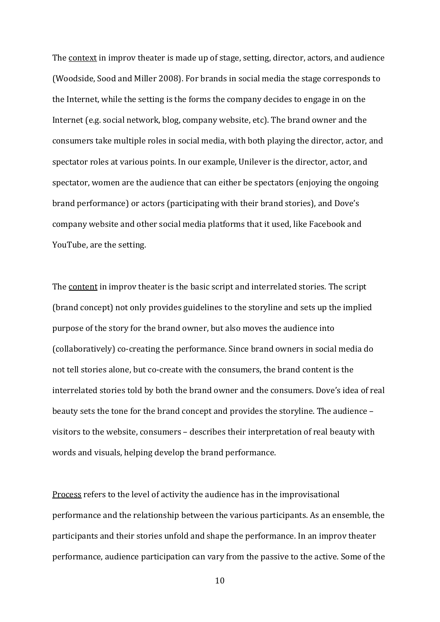The context in improv theater is made up of stage, setting, director, actors, and audience [\(Woodside, Sood and Miller 2008\)](#page-24-2). For brands in social media the stage corresponds to the Internet, while the setting is the forms the company decides to engage in on the Internet (e.g. social network, blog, company website, etc). The brand owner and the consumers take multiple roles in social media, with both playing the director, actor, and spectator roles at various points. In our example, Unilever is the director, actor, and spectator, women are the audience that can either be spectators (enjoying the ongoing brand performance) or actors (participating with their brand stories), and Dove's company website and other social media platforms that it used, like Facebook and YouTube, are the setting.

The content in improv theater is the basic script and interrelated stories. The script (brand concept) not only provides guidelines to the storyline and sets up the implied purpose of the story for the brand owner, but also moves the audience into (collaboratively) co-creating the performance. Since brand owners in social media do not tell stories alone, but co-create with the consumers, the brand content is the interrelated stories told by both the brand owner and the consumers. Dove's idea of real beauty sets the tone for the brand concept and provides the storyline. The audience – visitors to the website, consumers – describes their interpretation of real beauty with words and visuals, helping develop the brand performance.

Process refers to the level of activity the audience has in the improvisational performance and the relationship between the various participants. As an ensemble, the participants and their stories unfold and shape the performance. In an improv theater performance, audience participation can vary from the passive to the active. Some of the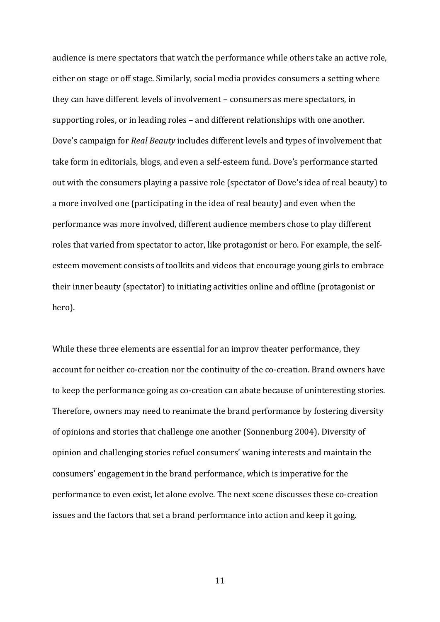audience is mere spectators that watch the performance while others take an active role, either on stage or off stage. Similarly, social media provides consumers a setting where they can have different levels of involvement – consumers as mere spectators, in supporting roles, or in leading roles – and different relationships with one another. Dove's campaign for *Real Beauty* includes different levels and types of involvement that take form in editorials, blogs, and even a self-esteem fund. Dove's performance started out with the consumers playing a passive role (spectator of Dove's idea of real beauty) to a more involved one (participating in the idea of real beauty) and even when the performance was more involved, different audience members chose to play different roles that varied from spectator to actor, like protagonist or hero. For example, the selfesteem movement consists of toolkits and videos that encourage young girls to embrace their inner beauty (spectator) to initiating activities online and offline (protagonist or hero).

While these three elements are essential for an improv theater performance, they account for neither co-creation nor the continuity of the co-creation. Brand owners have to keep the performance going as co-creation can abate because of uninteresting stories. Therefore, owners may need to reanimate the brand performance by fostering diversity of opinions and stories that challenge one another [\(Sonnenburg 2004\)](#page-24-7). Diversity of opinion and challenging stories refuel consumers' waning interests and maintain the consumers' engagement in the brand performance, which is imperative for the performance to even exist, let alone evolve. The next scene discusses these co-creation issues and the factors that set a brand performance into action and keep it going.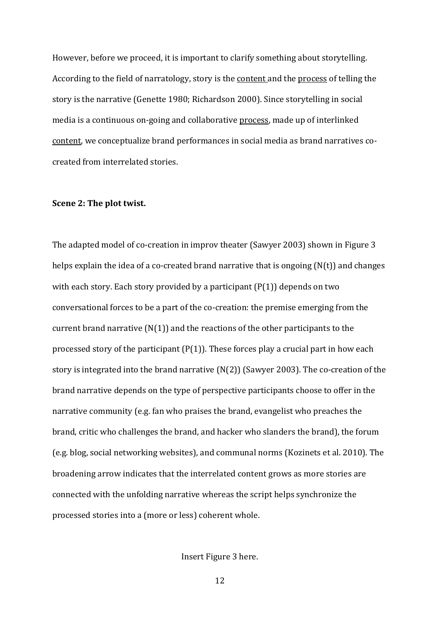However, before we proceed, it is important to clarify something about storytelling. According to the field of narratology, story is the content and the process of telling the story is the narrative [\(Genette 1980;](#page-23-12) [Richardson 2000\)](#page-23-13). Since storytelling in social media is a continuous on-going and collaborative process, made up of interlinked content, we conceptualize brand performances in social media as brand narratives cocreated from interrelated stories.

#### **Scene 2: The plot twist.**

The adapted model of co-creation in improv theater [\(Sawyer 2003\)](#page-23-14) shown in Figure 3 helps explain the idea of a co-created brand narrative that is ongoing (N(t)) and changes with each story. Each story provided by a participant  $(P(1))$  depends on two conversational forces to be a part of the co-creation: the premise emerging from the current brand narrative  $(N(1))$  and the reactions of the other participants to the processed story of the participant  $(P(1))$ . These forces play a crucial part in how each story is integrated into the brand narrative (N(2)) [\(Sawyer 2003\)](#page-23-14). The co-creation of the brand narrative depends on the type of perspective participants choose to offer in the narrative community (e.g. fan who praises the brand, evangelist who preaches the brand, critic who challenges the brand, and hacker who slanders the brand), the forum (e.g. blog, social networking websites), and communal norms [\(Kozinets et al. 2010\)](#page-23-6). The broadening arrow indicates that the interrelated content grows as more stories are connected with the unfolding narrative whereas the script helps synchronize the processed stories into a (more or less) coherent whole.

Insert Figure 3 here.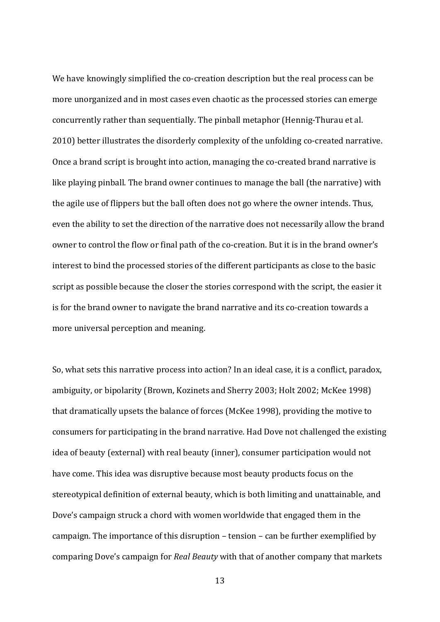We have knowingly simplified the co-creation description but the real process can be more unorganized and in most cases even chaotic as the processed stories can emerge concurrently rather than sequentially. The pinball metaphor [\(Hennig-Thurau et al.](#page-23-1)  [2010\)](#page-23-1) better illustrates the disorderly complexity of the unfolding co-created narrative. Once a brand script is brought into action, managing the co-created brand narrative is like playing pinball. The brand owner continues to manage the ball (the narrative) with the agile use of flippers but the ball often does not go where the owner intends. Thus, even the ability to set the direction of the narrative does not necessarily allow the brand owner to control the flow or final path of the co-creation. But it is in the brand owner's interest to bind the processed stories of the different participants as close to the basic script as possible because the closer the stories correspond with the script, the easier it is for the brand owner to navigate the brand narrative and its co-creation towards a more universal perception and meaning.

So, what sets this narrative process into action? In an ideal case, it is a conflict, paradox, ambiguity, or bipolarity [\(Brown, Kozinets and Sherry 2003;](#page-22-0) [Holt 2002;](#page-23-15) [McKee 1998\)](#page-23-11) that dramatically upsets the balance of forces [\(McKee 1998\)](#page-23-11), providing the motive to consumers for participating in the brand narrative. Had Dove not challenged the existing idea of beauty (external) with real beauty (inner), consumer participation would not have come. This idea was disruptive because most beauty products focus on the stereotypical definition of external beauty, which is both limiting and unattainable, and Dove's campaign struck a chord with women worldwide that engaged them in the campaign. The importance of this disruption – tension – can be further exemplified by comparing Dove's campaign for *Real Beauty* with that of another company that markets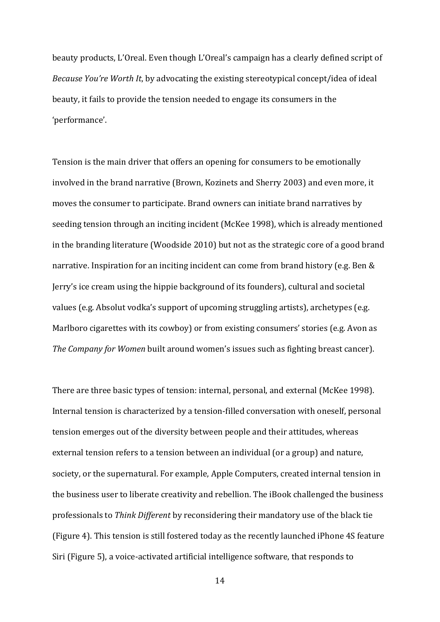beauty products, L'Oreal. Even though L'Oreal's campaign has a clearly defined script of *Because You're Worth It*, by advocating the existing stereotypical concept/idea of ideal beauty, it fails to provide the tension needed to engage its consumers in the 'performance'.

Tension is the main driver that offers an opening for consumers to be emotionally involved in the brand narrative [\(Brown, Kozinets and Sherry](#page-22-0) 2003) and even more, it moves the consumer to participate. Brand owners can initiate brand narratives by seeding tension through an inciting incident [\(McKee 1998\)](#page-23-11), which is already mentioned in the branding literature [\(Woodside 2010\)](#page-24-0) but not as the strategic core of a good brand narrative. Inspiration for an inciting incident can come from brand history (e.g. Ben & Jerry's ice cream using the hippie background of its founders), cultural and societal values (e.g. Absolut vodka's support of upcoming struggling artists), archetypes (e.g. Marlboro cigarettes with its cowboy) or from existing consumers' stories (e.g. Avon as *The Company for Women* built around women's issues such as fighting breast cancer).

There are three basic types of tension: internal, personal, and external [\(McKee 1998\)](#page-23-11). Internal tension is characterized by a tension-filled conversation with oneself, personal tension emerges out of the diversity between people and their attitudes, whereas external tension refers to a tension between an individual (or a group) and nature, society, or the supernatural. For example, Apple Computers, created internal tension in the business user to liberate creativity and rebellion. The iBook challenged the business professionals to *Think Different* by reconsidering their mandatory use of the black tie (Figure 4). This tension is still fostered today as the recently launched iPhone 4S feature Siri (Figure 5), a voice-activated artificial intelligence software, that responds to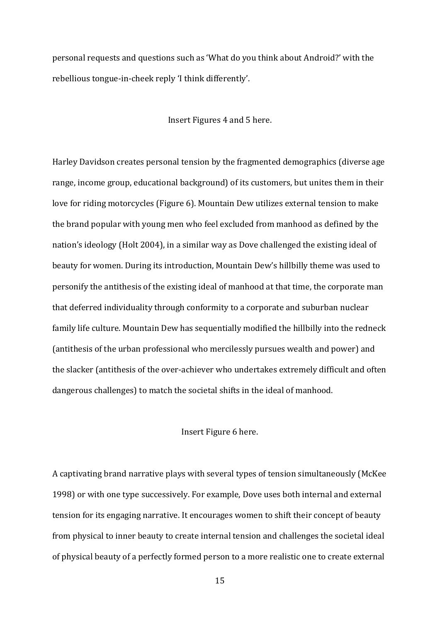personal requests and questions such as 'What do you think about Android?' with the rebellious tongue-in-cheek reply 'I think differently'.

Insert Figures 4 and 5 here.

Harley Davidson creates personal tension by the fragmented demographics (diverse age range, income group, educational background) of its customers, but unites them in their love for riding motorcycles (Figure 6). Mountain Dew utilizes external tension to make the brand popular with young men who feel excluded from manhood as defined by the nation's ideology [\(Holt 2004\)](#page-23-16), in a similar way as Dove challenged the existing ideal of beauty for women. During its introduction, Mountain Dew's hillbilly theme was used to personify the antithesis of the existing ideal of manhood at that time, the corporate man that deferred individuality through conformity to a corporate and suburban nuclear family life culture. Mountain Dew has sequentially modified the hillbilly into the redneck (antithesis of the urban professional who mercilessly pursues wealth and power) and the slacker (antithesis of the over-achiever who undertakes extremely difficult and often dangerous challenges) to match the societal shifts in the ideal of manhood.

# Insert Figure 6 here.

A captivating brand narrative plays with several types of tension simultaneously [\(McKee](#page-23-11)  [1998\)](#page-23-11) or with one type successively. For example, Dove uses both internal and external tension for its engaging narrative. It encourages women to shift their concept of beauty from physical to inner beauty to create internal tension and challenges the societal ideal of physical beauty of a perfectly formed person to a more realistic one to create external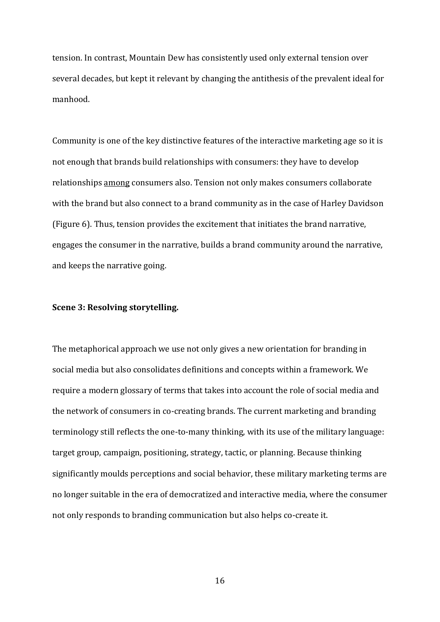tension. In contrast, Mountain Dew has consistently used only external tension over several decades, but kept it relevant by changing the antithesis of the prevalent ideal for manhood.

Community is one of the key distinctive features of the interactive marketing age so it is not enough that brands build relationships with consumers: they have to develop relationships among consumers also. Tension not only makes consumers collaborate with the brand but also connect to a brand community as in the case of Harley Davidson (Figure 6). Thus, tension provides the excitement that initiates the brand narrative, engages the consumer in the narrative, builds a brand community around the narrative, and keeps the narrative going.

#### **Scene 3: Resolving storytelling.**

The metaphorical approach we use not only gives a new orientation for branding in social media but also consolidates definitions and concepts within a framework. We require a modern glossary of terms that takes into account the role of social media and the network of consumers in co-creating brands. The current marketing and branding terminology still reflects the one-to-many thinking, with its use of the military language: target group, campaign, positioning, strategy, tactic, or planning. Because thinking significantly moulds perceptions and social behavior, these military marketing terms are no longer suitable in the era of democratized and interactive media, where the consumer not only responds to branding communication but also helps co-create it.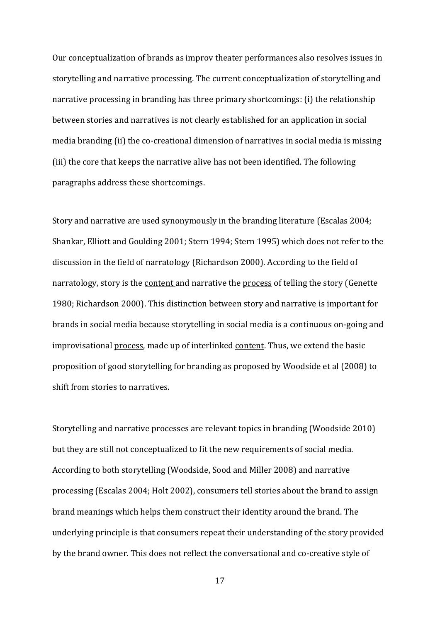Our conceptualization of brands as improv theater performances also resolves issues in storytelling and narrative processing. The current conceptualization of storytelling and narrative processing in branding has three primary shortcomings: (i) the relationship between stories and narratives is not clearly established for an application in social media branding (ii) the co-creational dimension of narratives in social media is missing (iii) the core that keeps the narrative alive has not been identified. The following paragraphs address these shortcomings.

Story and narrative are used synonymously in the branding literature [\(Escalas 2004;](#page-23-0) [Shankar, Elliott and Goulding 2001;](#page-24-8) [Stern 1994;](#page-24-9) [Stern 1995\)](#page-24-10) which does not refer to the discussion in the field of narratology [\(Richardson 2000\)](#page-23-13). According to the field of narratology, story is the content and narrative the process of telling the story (Genette [1980;](#page-23-12) [Richardson 2000\)](#page-23-13). This distinction between story and narrative is important for brands in social media because storytelling in social media is a continuous on-going and improvisational process, made up of interlinked content. Thus, we extend the basic proposition of good storytelling for branding as proposed by Woodside et al (2008) to shift from stories to narratives.

Storytelling and narrative processes are relevant topics in branding [\(Woodside 2010\)](#page-24-0) but they are still not conceptualized to fit the new requirements of social media. According to both storytelling [\(Woodside, Sood and Miller 2008\)](#page-24-2) and narrative processing [\(Escalas 2004;](#page-23-0) [Holt 2002\)](#page-23-15), consumers tell stories about the brand to assign brand meanings which helps them construct their identity around the brand. The underlying principle is that consumers repeat their understanding of the story provided by the brand owner. This does not reflect the conversational and co-creative style of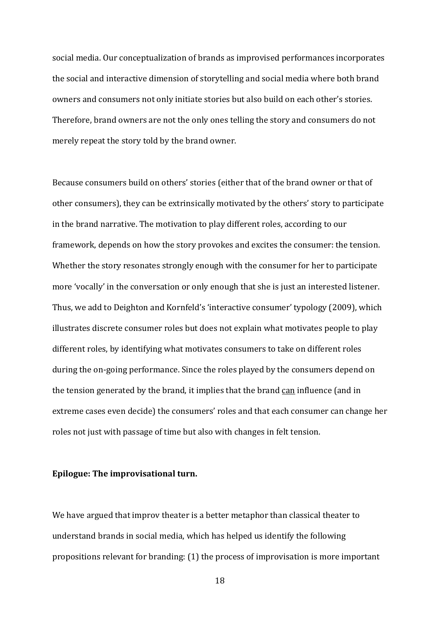social media. Our conceptualization of brands as improvised performances incorporates the social and interactive dimension of storytelling and social media where both brand owners and consumers not only initiate stories but also build on each other's stories. Therefore, brand owners are not the only ones telling the story and consumers do not merely repeat the story told by the brand owner.

Because consumers build on others' stories (either that of the brand owner or that of other consumers), they can be extrinsically motivated by the others' story to participate in the brand narrative. The motivation to play different roles, according to our framework, depends on how the story provokes and excites the consumer: the tension. Whether the story resonates strongly enough with the consumer for her to participate more 'vocally' in the conversation or only enough that she is just an interested listener. Thus, we add to Deighton and Kornfeld's 'interactive consumer' typology (2009), which illustrates discrete consumer roles but does not explain what motivates people to play different roles, by identifying what motivates consumers to take on different roles during the on-going performance. Since the roles played by the consumers depend on the tension generated by the brand, it implies that the brand can influence (and in extreme cases even decide) the consumers' roles and that each consumer can change her roles not just with passage of time but also with changes in felt tension.

# **Epilogue: The improvisational turn.**

We have argued that improv theater is a better metaphor than classical theater to understand brands in social media, which has helped us identify the following propositions relevant for branding: (1) the process of improvisation is more important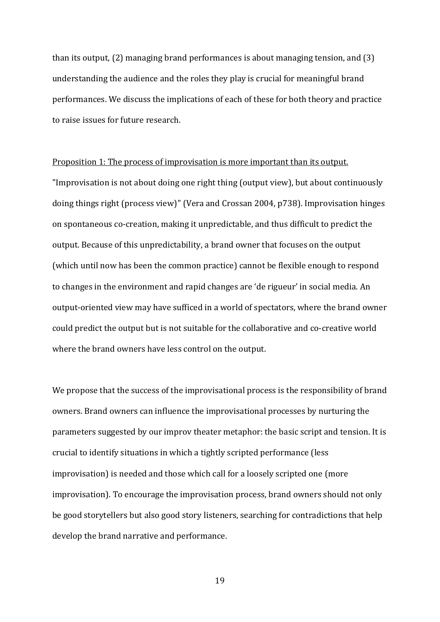than its output, (2) managing brand performances is about managing tension, and (3) understanding the audience and the roles they play is crucial for meaningful brand performances. We discuss the implications of each of these for both theory and practice to raise issues for future research.

#### Proposition 1: The process of improvisation is more important than its output.

"Improvisation is not about doing one right thing (output view), but about continuously doing things right (process view)" [\(Vera and Crossan](#page-24-11) 2004, p738). Improvisation hinges on spontaneous co-creation, making it unpredictable, and thus difficult to predict the output. Because of this unpredictability, a brand owner that focuses on the output (which until now has been the common practice) cannot be flexible enough to respond to changes in the environment and rapid changes are 'de rigueur' in social media. An output-oriented view may have sufficed in a world of spectators, where the brand owner could predict the output but is not suitable for the collaborative and co-creative world where the brand owners have less control on the output.

We propose that the success of the improvisational process is the responsibility of brand owners. Brand owners can influence the improvisational processes by nurturing the parameters suggested by our improv theater metaphor: the basic script and tension. It is crucial to identify situations in which a tightly scripted performance (less improvisation) is needed and those which call for a loosely scripted one (more improvisation). To encourage the improvisation process, brand owners should not only be good storytellers but also good story listeners, searching for contradictions that help develop the brand narrative and performance.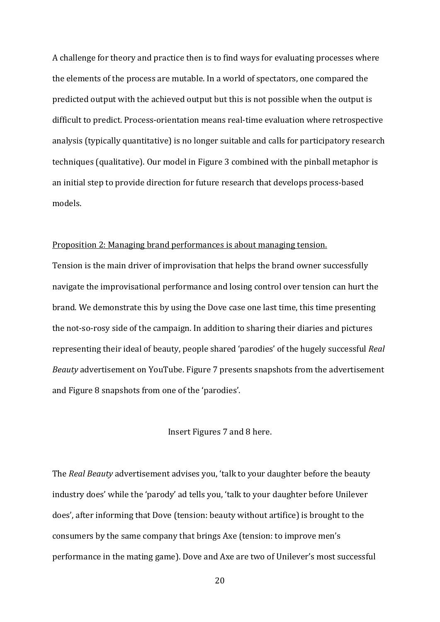A challenge for theory and practice then is to find ways for evaluating processes where the elements of the process are mutable. In a world of spectators, one compared the predicted output with the achieved output but this is not possible when the output is difficult to predict. Process-orientation means real-time evaluation where retrospective analysis (typically quantitative) is no longer suitable and calls for participatory research techniques (qualitative). Our model in Figure 3 combined with the pinball metaphor is an initial step to provide direction for future research that develops process-based models.

#### Proposition 2: Managing brand performances is about managing tension.

Tension is the main driver of improvisation that helps the brand owner successfully navigate the improvisational performance and losing control over tension can hurt the brand. We demonstrate this by using the Dove case one last time, this time presenting the not-so-rosy side of the campaign. In addition to sharing their diaries and pictures representing their ideal of beauty, people shared 'parodies' of the hugely successful *Real Beauty* advertisement on YouTube. Figure 7 presents snapshots from the advertisement and Figure 8 snapshots from one of the 'parodies'.

## Insert Figures 7 and 8 here.

The *Real Beauty* advertisement advises you, 'talk to your daughter before the beauty industry does' while the 'parody' ad tells you, 'talk to your daughter before Unilever does', after informing that Dove (tension: beauty without artifice) is brought to the consumers by the same company that brings Axe (tension: to improve men's performance in the mating game). Dove and Axe are two of Unilever's most successful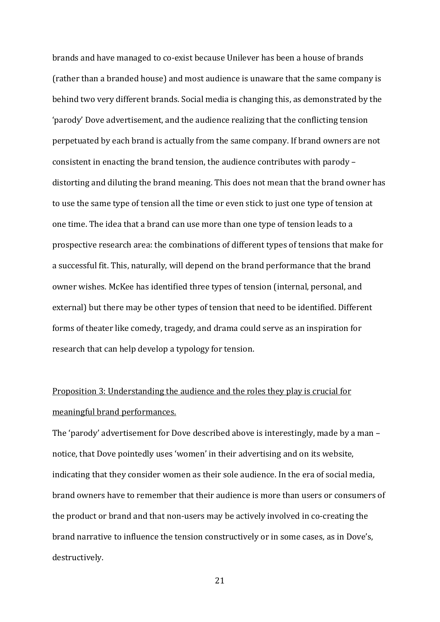brands and have managed to co-exist because Unilever has been a house of brands (rather than a branded house) and most audience is unaware that the same company is behind two very different brands. Social media is changing this, as demonstrated by the 'parody' Dove advertisement, and the audience realizing that the conflicting tension perpetuated by each brand is actually from the same company. If brand owners are not consistent in enacting the brand tension, the audience contributes with parody – distorting and diluting the brand meaning. This does not mean that the brand owner has to use the same type of tension all the time or even stick to just one type of tension at one time. The idea that a brand can use more than one type of tension leads to a prospective research area: the combinations of different types of tensions that make for a successful fit. This, naturally, will depend on the brand performance that the brand owner wishes. McKee has identified three types of tension (internal, personal, and external) but there may be other types of tension that need to be identified. Different forms of theater like comedy, tragedy, and drama could serve as an inspiration for research that can help develop a typology for tension.

# Proposition 3: Understanding the audience and the roles they play is crucial for meaningful brand performances.

The 'parody' advertisement for Dove described above is interestingly, made by a man – notice, that Dove pointedly uses 'women' in their advertising and on its website, indicating that they consider women as their sole audience. In the era of social media, brand owners have to remember that their audience is more than users or consumers of the product or brand and that non-users may be actively involved in co-creating the brand narrative to influence the tension constructively or in some cases, as in Dove's, destructively.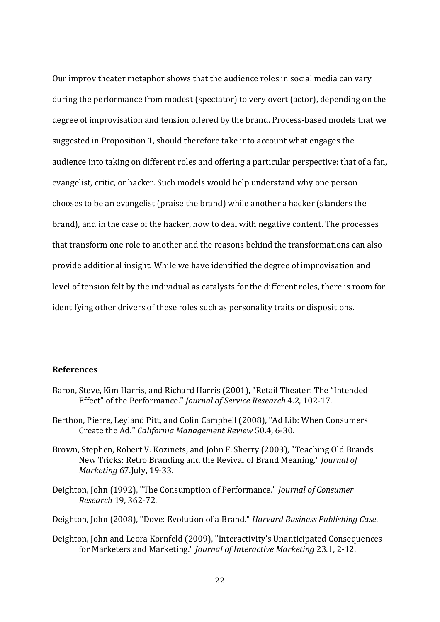Our improv theater metaphor shows that the audience roles in social media can vary during the performance from modest (spectator) to very overt (actor), depending on the degree of improvisation and tension offered by the brand. Process-based models that we suggested in Proposition 1, should therefore take into account what engages the audience into taking on different roles and offering a particular perspective: that of a fan, evangelist, critic, or hacker. Such models would help understand why one person chooses to be an evangelist (praise the brand) while another a hacker (slanders the brand), and in the case of the hacker, how to deal with negative content. The processes that transform one role to another and the reasons behind the transformations can also provide additional insight. While we have identified the degree of improvisation and level of tension felt by the individual as catalysts for the different roles, there is room for identifying other drivers of these roles such as personality traits or dispositions.

## **References**

- <span id="page-22-3"></span>Baron, Steve, Kim Harris, and Richard Harris (2001), "Retail Theater: The "Intended Effect" of the Performance." *Journal of Service Research* 4.2, 102-17.
- <span id="page-22-4"></span>Berthon, Pierre, Leyland Pitt, and Colin Campbell (2008), "Ad Lib: When Consumers Create the Ad." *California Management Review* 50.4, 6-30.
- <span id="page-22-0"></span>Brown, Stephen, Robert V. Kozinets, and John F. Sherry (2003), "Teaching Old Brands New Tricks: Retro Branding and the Revival of Brand Meaning." *Journal of Marketing* 67.July, 19-33.
- <span id="page-22-2"></span>Deighton, John (1992), "The Consumption of Performance." *Journal of Consumer Research* 19, 362-72.
- <span id="page-22-5"></span>Deighton, John (2008), "Dove: Evolution of a Brand." *Harvard Business Publishing Case*.
- <span id="page-22-1"></span>Deighton, John and Leora Kornfeld (2009), "Interactivity's Unanticipated Consequences for Marketers and Marketing." *Journal of Interactive Marketing* 23.1, 2-12.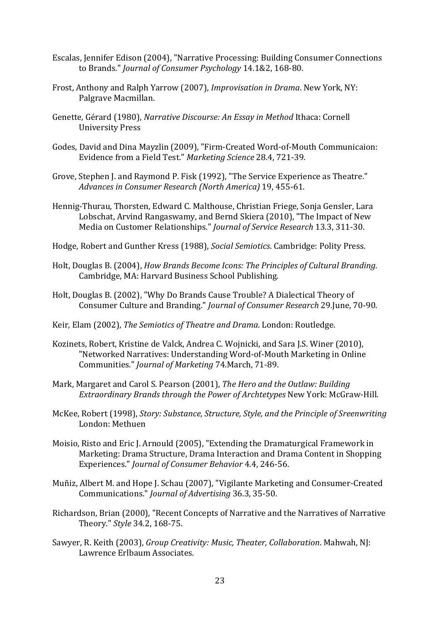- <span id="page-23-0"></span>Escalas, Jennifer Edison (2004), "Narrative Processing: Building Consumer Connections to Brands." *Journal of Consumer Psychology* 14.1&2, 168-80.
- <span id="page-23-7"></span>Frost, Anthony and Ralph Yarrow (2007), *Improvisation in Drama*. New York, NY: Palgrave Macmillan.
- <span id="page-23-12"></span>Genette, Gérard (1980), *Narrative Discourse: An Essay in Method* Ithaca: Cornell University Press
- <span id="page-23-8"></span>Godes, David and Dina Mayzlin (2009), "Firm-Created Word-of-Mouth Communicaion: Evidence from a Field Test." *Marketing Science* 28.4, 721-39.
- <span id="page-23-4"></span>Grove, Stephen J. and Raymond P. Fisk (1992), "The Service Experience as Theatre." *Advances in Consumer Research (North America)* 19, 455-61.
- <span id="page-23-1"></span>Hennig-Thurau, Thorsten, Edward C. Malthouse, Christian Friege, Sonja Gensler, Lara Lobschat, Arvind Rangaswamy, and Bernd Skiera (2010), "The Impact of New Media on Customer Relationships." *Journal of Service Research* 13.3, 311-30.
- <span id="page-23-9"></span>Hodge, Robert and Gunther Kress (1988), *Social Semiotics*. Cambridge: Polity Press.
- <span id="page-23-16"></span>Holt, Douglas B. (2004), *How Brands Become Icons: The Principles of Cultural Branding*. Cambridge, MA: Harvard Business School Publishing.
- <span id="page-23-15"></span>Holt, Douglas B. (2002), "Why Do Brands Cause Trouble? A Dialectical Theory of Consumer Culture and Branding." *Journal of Consumer Research* 29.June, 70-90.
- <span id="page-23-10"></span>Keir, Elam (2002), *The Semiotics of Theatre and Drama*. London: Routledge.
- <span id="page-23-6"></span>Kozinets, Robert, Kristine de Valck, Andrea C. Wojnicki, and Sara J.S. Winer (2010), "Networked Narratives: Understanding Word-of-Mouth Marketing in Online Communities." *Journal of Marketing* 74.March, 71-89.
- <span id="page-23-5"></span>Mark, Margaret and Carol S. Pearson (2001), *The Hero and the Outlaw: Building Extraordinary Brands through the Power of Archtetypes* New York: McGraw-Hill.
- <span id="page-23-11"></span>McKee, Robert (1998), *Story: Substance, Structure, Style, and the Principle of Sreenwriting*  London: Methuen
- <span id="page-23-3"></span>Moisio, Risto and Eric J. Arnould (2005), "Extending the Dramaturgical Framework in Marketing: Drama Structure, Drama Interaction and Drama Content in Shopping Experiences." *Journal of Consumer Behavior* 4.4, 246-56.
- <span id="page-23-2"></span>Muñiz, Albert M. and Hope J. Schau (2007), "Vigilante Marketing and Consumer-Created Communications." *Journal of Advertising* 36.3, 35-50.
- <span id="page-23-13"></span>Richardson, Brian (2000), "Recent Concepts of Narrative and the Narratives of Narrative Theory." *Style* 34.2, 168-75.
- <span id="page-23-14"></span>Sawyer, R. Keith (2003), *Group Creativity: Music, Theater, Collaboration*. Mahwah, NJ: Lawrence Erlbaum Associates.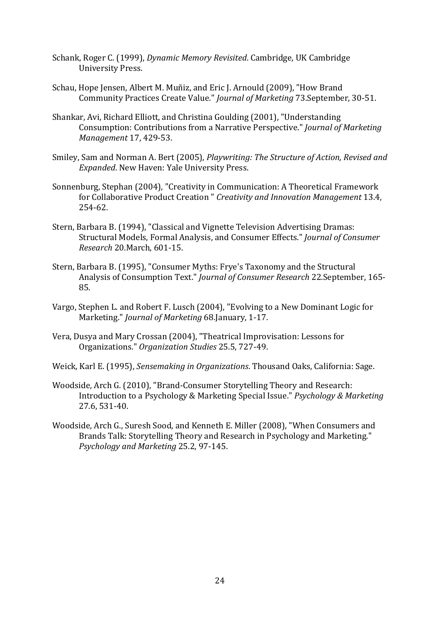- <span id="page-24-1"></span>Schank, Roger C. (1999), *Dynamic Memory Revisited*. Cambridge, UK Cambridge University Press.
- <span id="page-24-4"></span>Schau, Hope Jensen, Albert M. Muñiz, and Eric J. Arnould (2009), "How Brand Community Practices Create Value." *Journal of Marketing* 73.September, 30-51.
- <span id="page-24-8"></span>Shankar, Avi, Richard Elliott, and Christina Goulding (2001), "Understanding Consumption: Contributions from a Narrative Perspective." *Journal of Marketing Management* 17, 429-53.
- <span id="page-24-6"></span>Smiley, Sam and Norman A. Bert (2005), *Playwriting: The Structure of Action, Revised and Expanded*. New Haven: Yale University Press.
- <span id="page-24-7"></span>Sonnenburg, Stephan (2004), "Creativity in Communication: A Theoretical Framework for Collaborative Product Creation " *Creativity and Innovation Management* 13.4, 254-62.
- <span id="page-24-9"></span>Stern, Barbara B. (1994), "Classical and Vignette Television Advertising Dramas: Structural Models, Formal Analysis, and Consumer Effects." *Journal of Consumer Research* 20.March, 601-15.
- <span id="page-24-10"></span>Stern, Barbara B. (1995), "Consumer Myths: Frye's Taxonomy and the Structural Analysis of Consumption Text." *Journal of Consumer Research* 22.September, 165- 85.
- <span id="page-24-3"></span>Vargo, Stephen L. and Robert F. Lusch (2004), "Evolving to a New Dominant Logic for Marketing." *Journal of Marketing* 68.January, 1-17.
- <span id="page-24-11"></span>Vera, Dusya and Mary Crossan (2004), "Theatrical Improvisation: Lessons for Organizations." *Organization Studies* 25.5, 727-49.
- <span id="page-24-5"></span>Weick, Karl E. (1995), *Sensemaking in Organizations*. Thousand Oaks, California: Sage.
- <span id="page-24-0"></span>Woodside, Arch G. (2010), "Brand-Consumer Storytelling Theory and Research: Introduction to a Psychology & Marketing Special Issue." *Psychology & Marketing*  27.6, 531-40.
- <span id="page-24-2"></span>Woodside, Arch G., Suresh Sood, and Kenneth E. Miller (2008), "When Consumers and Brands Talk: Storytelling Theory and Research in Psychology and Marketing." *Psychology and Marketing* 25.2, 97-145.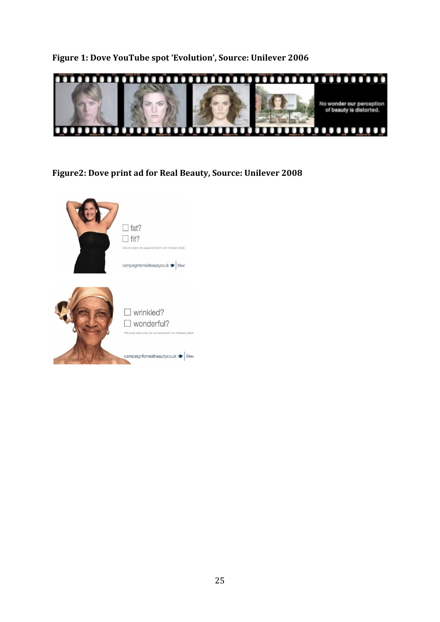# **Figure 1: Dove YouTube spot 'Evolution', Source: Unilever 2006**



# **Figure2: Dove print ad for Real Beauty, Source: Unilever 2008**

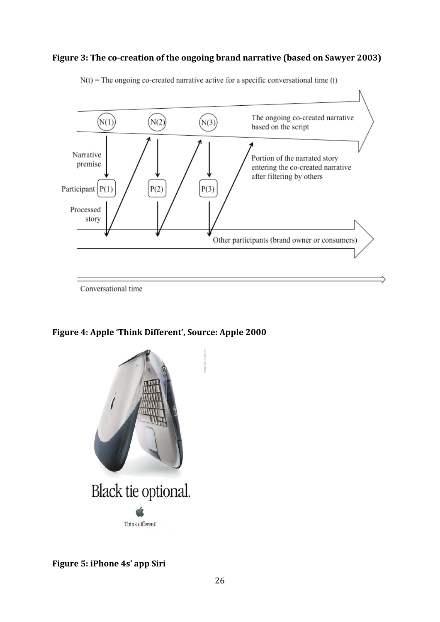# **Figure 3: The co-creation of the ongoing brand narrative (based on Sawyer 2003)**



 $N(t)$  = The ongoing co-created narrative active for a specific conversational time (t)

Conversational time

**Figure 4: Apple 'Think Different', Source: Apple 2000**



# **Figure 5: iPhone 4s' app Siri**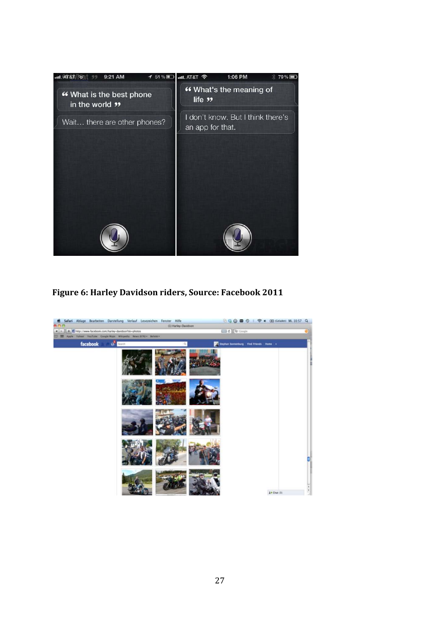

**Figure 6: Harley Davidson riders, Source: Facebook 2011**